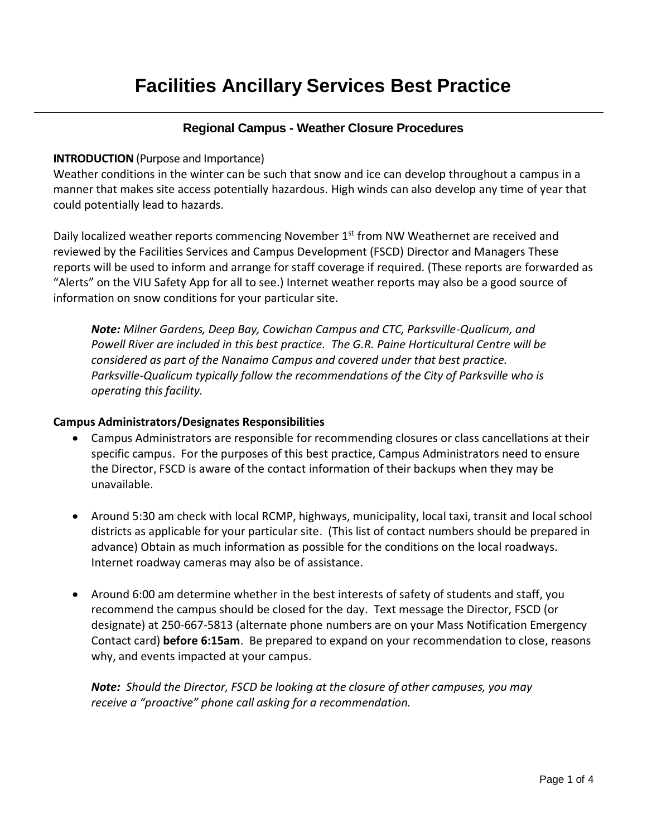# **Facilities Ancillary Services Best Practice**

### **Regional Campus - Weather Closure Procedures**

#### **INTRODUCTION** (Purpose and Importance)

Weather conditions in the winter can be such that snow and ice can develop throughout a campus in a manner that makes site access potentially hazardous. High winds can also develop any time of year that could potentially lead to hazards.

Daily localized weather reports commencing November 1<sup>st</sup> from NW Weathernet are received and reviewed by the Facilities Services and Campus Development (FSCD) Director and Managers These reports will be used to inform and arrange for staff coverage if required. (These reports are forwarded as "Alerts" on the VIU Safety App for all to see.) Internet weather reports may also be a good source of information on snow conditions for your particular site.

*Note: Milner Gardens, Deep Bay, Cowichan Campus and CTC, Parksville-Qualicum, and Powell River are included in this best practice. The G.R. Paine Horticultural Centre will be considered as part of the Nanaimo Campus and covered under that best practice. Parksville-Qualicum typically follow the recommendations of the City of Parksville who is operating this facility.*

#### **Campus Administrators/Designates Responsibilities**

- Campus Administrators are responsible for recommending closures or class cancellations at their specific campus. For the purposes of this best practice, Campus Administrators need to ensure the Director, FSCD is aware of the contact information of their backups when they may be unavailable.
- Around 5:30 am check with local RCMP, highways, municipality, local taxi, transit and local school districts as applicable for your particular site. (This list of contact numbers should be prepared in advance) Obtain as much information as possible for the conditions on the local roadways. Internet roadway cameras may also be of assistance.
- Around 6:00 am determine whether in the best interests of safety of students and staff, you recommend the campus should be closed for the day. Text message the Director, FSCD (or designate) at 250-667-5813 (alternate phone numbers are on your Mass Notification Emergency Contact card) **before 6:15am**. Be prepared to expand on your recommendation to close, reasons why, and events impacted at your campus.

*Note: Should the Director, FSCD be looking at the closure of other campuses, you may receive a "proactive" phone call asking for a recommendation.*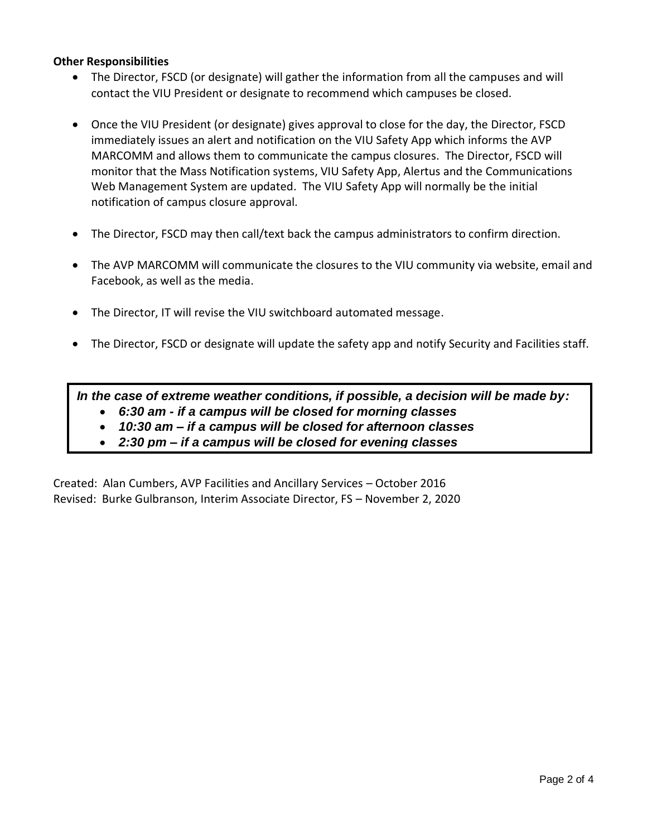#### **Other Responsibilities**

- The Director, FSCD (or designate) will gather the information from all the campuses and will contact the VIU President or designate to recommend which campuses be closed.
- Once the VIU President (or designate) gives approval to close for the day, the Director, FSCD immediately issues an alert and notification on the VIU Safety App which informs the AVP MARCOMM and allows them to communicate the campus closures. The Director, FSCD will monitor that the Mass Notification systems, VIU Safety App, Alertus and the Communications Web Management System are updated. The VIU Safety App will normally be the initial notification of campus closure approval.
- The Director, FSCD may then call/text back the campus administrators to confirm direction.
- The AVP MARCOMM will communicate the closures to the VIU community via website, email and Facebook, as well as the media.
- The Director, IT will revise the VIU switchboard automated message.
- The Director, FSCD or designate will update the safety app and notify Security and Facilities staff.

*In the case of extreme weather conditions, if possible, a decision will be made by:*

- *6:30 am - if a campus will be closed for morning classes*
- *10:30 am – if a campus will be closed for afternoon classes*
- *2:30 pm – if a campus will be closed for evening classes*

Created: Alan Cumbers, AVP Facilities and Ancillary Services – October 2016 Revised: Burke Gulbranson, Interim Associate Director, FS – November 2, 2020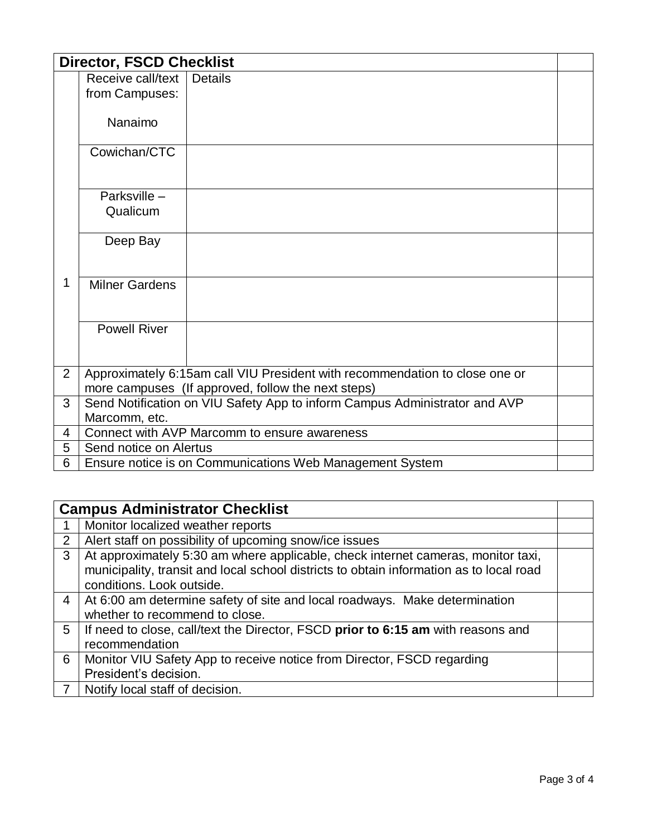| <b>Director, FSCD Checklist</b> |                                                          |                                                                             |  |  |
|---------------------------------|----------------------------------------------------------|-----------------------------------------------------------------------------|--|--|
|                                 | Receive call/text                                        | <b>Details</b>                                                              |  |  |
|                                 | from Campuses:                                           |                                                                             |  |  |
|                                 |                                                          |                                                                             |  |  |
|                                 | Nanaimo                                                  |                                                                             |  |  |
|                                 | Cowichan/CTC                                             |                                                                             |  |  |
|                                 |                                                          |                                                                             |  |  |
|                                 | Parksville-                                              |                                                                             |  |  |
|                                 | Qualicum                                                 |                                                                             |  |  |
|                                 |                                                          |                                                                             |  |  |
|                                 | Deep Bay                                                 |                                                                             |  |  |
|                                 |                                                          |                                                                             |  |  |
| 1                               | <b>Milner Gardens</b>                                    |                                                                             |  |  |
|                                 |                                                          |                                                                             |  |  |
|                                 |                                                          |                                                                             |  |  |
|                                 | <b>Powell River</b>                                      |                                                                             |  |  |
|                                 |                                                          |                                                                             |  |  |
| $\overline{2}$                  |                                                          | Approximately 6:15am call VIU President with recommendation to close one or |  |  |
|                                 |                                                          | more campuses (If approved, follow the next steps)                          |  |  |
| 3                               |                                                          | Send Notification on VIU Safety App to inform Campus Administrator and AVP  |  |  |
|                                 | Marcomm, etc.                                            |                                                                             |  |  |
| $\overline{4}$                  | Connect with AVP Marcomm to ensure awareness             |                                                                             |  |  |
| 5                               | Send notice on Alertus                                   |                                                                             |  |  |
| 6                               | Ensure notice is on Communications Web Management System |                                                                             |  |  |

|                | <b>Campus Administrator Checklist</b>                                                   |  |  |
|----------------|-----------------------------------------------------------------------------------------|--|--|
|                | Monitor localized weather reports                                                       |  |  |
| $\overline{2}$ | Alert staff on possibility of upcoming snow/ice issues                                  |  |  |
| 3              | At approximately 5:30 am where applicable, check internet cameras, monitor taxi,        |  |  |
|                | municipality, transit and local school districts to obtain information as to local road |  |  |
|                | conditions. Look outside.                                                               |  |  |
| 4              | At 6:00 am determine safety of site and local roadways. Make determination              |  |  |
|                | whether to recommend to close.                                                          |  |  |
| 5              | If need to close, call/text the Director, FSCD prior to 6:15 am with reasons and        |  |  |
|                | recommendation                                                                          |  |  |
| 6              | Monitor VIU Safety App to receive notice from Director, FSCD regarding                  |  |  |
|                | President's decision.                                                                   |  |  |
|                | Notify local staff of decision.                                                         |  |  |